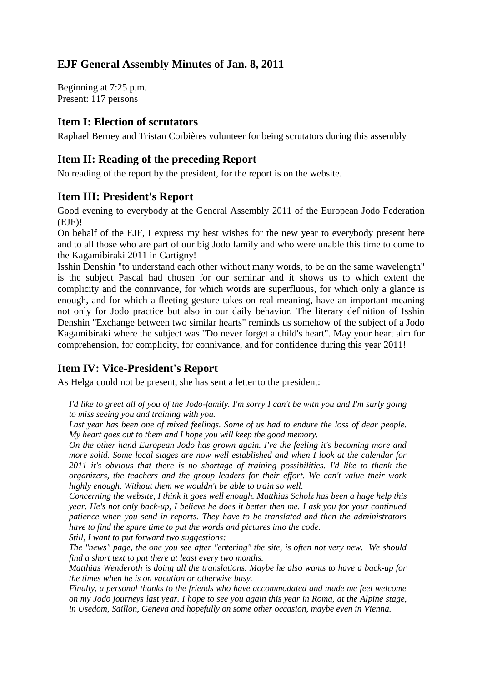# **EJF General Assembly Minutes of Jan. 8, 2011**

Beginning at 7:25 p.m. Present: 117 persons

## **Item I: Election of scrutators**

Raphael Berney and Tristan Corbières volunteer for being scrutators during this assembly

# **Item II: Reading of the preceding Report**

No reading of the report by the president, for the report is on the website.

### **Item III: President's Report**

Good evening to everybody at the General Assembly 2011 of the European Jodo Federation (EJF)!

On behalf of the EJF, I express my best wishes for the new year to everybody present here and to all those who are part of our big Jodo family and who were unable this time to come to the Kagamibiraki 2011 in Cartigny!

Isshin Denshin "to understand each other without many words, to be on the same wavelength" is the subject Pascal had chosen for our seminar and it shows us to which extent the complicity and the connivance, for which words are superfluous, for which only a glance is enough, and for which a fleeting gesture takes on real meaning, have an important meaning not only for Jodo practice but also in our daily behavior. The literary definition of Isshin Denshin "Exchange between two similar hearts" reminds us somehow of the subject of a Jodo Kagamibiraki where the subject was "Do never forget a child's heart". May your heart aim for comprehension, for complicity, for connivance, and for confidence during this year 2011!

# **Item IV: Vice-President's Report**

As Helga could not be present, she has sent a letter to the president:

*I'd like to greet all of you of the Jodo-family. I'm sorry I can't be with you and I'm surly going to miss seeing you and training with you.*

*Last year has been one of mixed feelings. Some of us had to endure the loss of dear people. My heart goes out to them and I hope you will keep the good memory.*

*On the other hand European Jodo has grown again. I've the feeling it's becoming more and more solid. Some local stages are now well established and when I look at the calendar for 2011 it's obvious that there is no shortage of training possibilities. I'd like to thank the organizers, the teachers and the group leaders for their effort. We can't value their work highly enough. Without them we wouldn't be able to train so well.*

*Concerning the website, I think it goes well enough. Matthias Scholz has been a huge help this year. He's not only back-up, I believe he does it better then me. I ask you for your continued patience when you send in reports. They have to be translated and then the administrators have to find the spare time to put the words and pictures into the code. Still, I want to put forward two suggestions:*

*The "news" page, the one you see after "entering" the site, is often not very new. We should find a short text to put there at least every two months.*

*Matthias Wenderoth is doing all the translations. Maybe he also wants to have a back-up for the times when he is on vacation or otherwise busy.*

*Finally, a personal thanks to the friends who have accommodated and made me feel welcome on my Jodo journeys last year. I hope to see you again this year in Roma, at the Alpine stage, in Usedom, Saillon, Geneva and hopefully on some other occasion, maybe even in Vienna.*